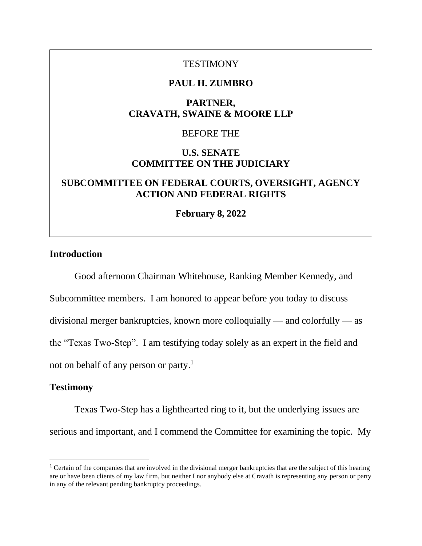### **TESTIMONY**

### **PAUL H. ZUMBRO**

## **PARTNER, CRAVATH, SWAINE & MOORE LLP**

#### BEFORE THE

## **U.S. SENATE COMMITTEE ON THE JUDICIARY**

# **SUBCOMMITTEE ON FEDERAL COURTS, OVERSIGHT, AGENCY ACTION AND FEDERAL RIGHTS**

**February 8, 2022**

### **Introduction**

Good afternoon Chairman Whitehouse, Ranking Member Kennedy, and Subcommittee members. I am honored to appear before you today to discuss divisional merger bankruptcies, known more colloquially — and colorfully — as the "Texas Two-Step". I am testifying today solely as an expert in the field and not on behalf of any person or party. 1

#### **Testimony**

Texas Two-Step has a lighthearted ring to it, but the underlying issues are serious and important, and I commend the Committee for examining the topic. My

<sup>&</sup>lt;sup>1</sup> Certain of the companies that are involved in the divisional merger bankruptcies that are the subject of this hearing are or have been clients of my law firm, but neither I nor anybody else at Cravath is representing any person or party in any of the relevant pending bankruptcy proceedings.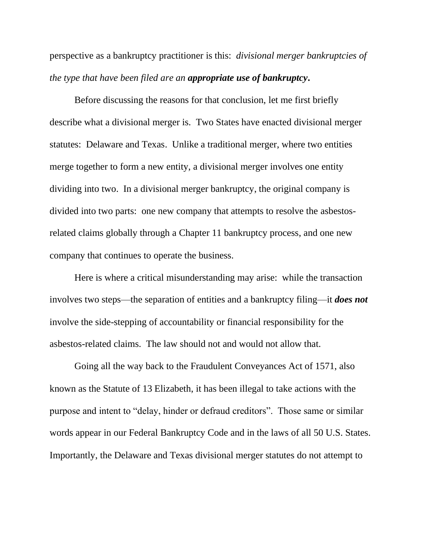perspective as a bankruptcy practitioner is this: *divisional merger bankruptcies of the type that have been filed are an appropriate use of bankruptcy***.**

Before discussing the reasons for that conclusion, let me first briefly describe what a divisional merger is. Two States have enacted divisional merger statutes: Delaware and Texas. Unlike a traditional merger, where two entities merge together to form a new entity, a divisional merger involves one entity dividing into two. In a divisional merger bankruptcy, the original company is divided into two parts: one new company that attempts to resolve the asbestosrelated claims globally through a Chapter 11 bankruptcy process, and one new company that continues to operate the business.

Here is where a critical misunderstanding may arise: while the transaction involves two steps—the separation of entities and a bankruptcy filing—it *does not* involve the side-stepping of accountability or financial responsibility for the asbestos-related claims. The law should not and would not allow that.

Going all the way back to the Fraudulent Conveyances Act of 1571, also known as the Statute of 13 Elizabeth, it has been illegal to take actions with the purpose and intent to "delay, hinder or defraud creditors". Those same or similar words appear in our Federal Bankruptcy Code and in the laws of all 50 U.S. States. Importantly, the Delaware and Texas divisional merger statutes do not attempt to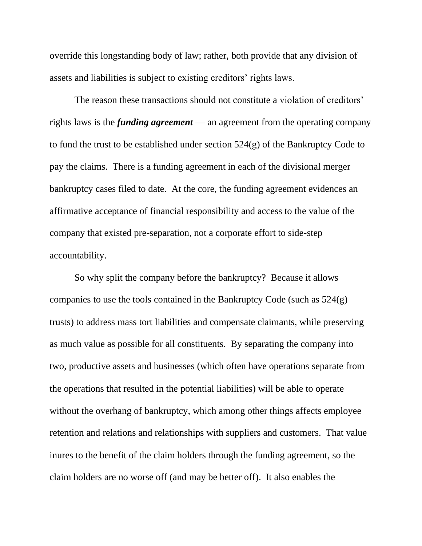override this longstanding body of law; rather, both provide that any division of assets and liabilities is subject to existing creditors' rights laws.

The reason these transactions should not constitute a violation of creditors' rights laws is the *funding agreement* — an agreement from the operating company to fund the trust to be established under section  $524(g)$  of the Bankruptcy Code to pay the claims. There is a funding agreement in each of the divisional merger bankruptcy cases filed to date. At the core, the funding agreement evidences an affirmative acceptance of financial responsibility and access to the value of the company that existed pre-separation, not a corporate effort to side-step accountability.

So why split the company before the bankruptcy? Because it allows companies to use the tools contained in the Bankruptcy Code (such as 524(g) trusts) to address mass tort liabilities and compensate claimants, while preserving as much value as possible for all constituents. By separating the company into two, productive assets and businesses (which often have operations separate from the operations that resulted in the potential liabilities) will be able to operate without the overhang of bankruptcy, which among other things affects employee retention and relations and relationships with suppliers and customers. That value inures to the benefit of the claim holders through the funding agreement, so the claim holders are no worse off (and may be better off). It also enables the